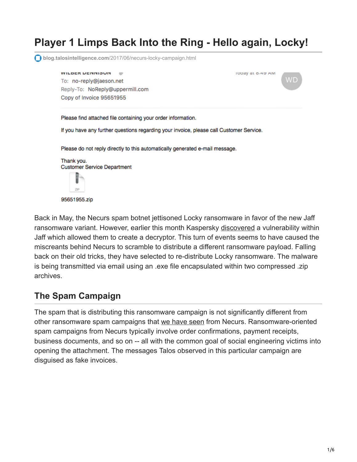# **Player 1 Limps Back Into the Ring - Hello again, Locky!**

**blog.talosintelligence.com**[/2017/06/necurs-locky-campaign.html](http://blog.talosintelligence.com/2017/06/necurs-locky-campaign.html)

**WILDER DENNIOUN**  $100$ roday at 6:49 AM ΜD To: no-reply@jaeson.net Reply-To: NoReply@uppermill.com Copy of Invoice 95651955 Please find attached file containing your order information. If you have any further questions regarding your invoice, please call Customer Service. Please do not reply directly to this automatically generated e-mail message. Thank you. **Customer Service Department** ΖP 95651955.zip

Back in May, the Necurs spam botnet jettisoned Locky ransomware in favor of the new Jaff ransomware variant. However, earlier this month Kaspersky [discovered](https://www.bleepingcomputer.com/news/security/decrypted-kaspersky-releases-decryptor-for-the-jaff-ransomware/) a vulnerability within Jaff which allowed them to create a decryptor. This turn of events seems to have caused the miscreants behind Necurs to scramble to distribute a different ransomware payload. Falling back on their old tricks, they have selected to re-distribute Locky ransomware. The malware is being transmitted via email using an .exe file encapsulated within two compressed .zip archives.

## **The Spam Campaign**

The spam that is distributing this ransomware campaign is not significantly different from other ransomware spam campaigns that [we have seen](http://blog.talosintelligence.com/2017/05/jaff-ransomware.html) from Necurs. Ransomware-oriented spam campaigns from Necurs typically involve order confirmations, payment receipts, business documents, and so on -- all with the common goal of social engineering victims into opening the attachment. The messages Talos observed in this particular campaign are disguised as fake invoices.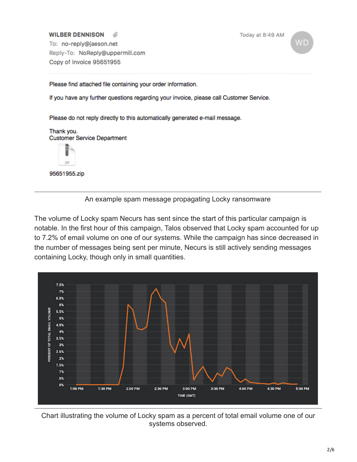#### **WILBER DENNISON**

Today at 8:49 AM

ΝD

To: no-reply@jaeson.net Reply-To: NoReply@uppermill.com Copy of Invoice 95651955

Please find attached file containing your order information.

If you have any further questions regarding your invoice, please call Customer Service.

Please do not reply directly to this automatically generated e-mail message.

Thank you. **Customer Service Department** 



95651955.zip



The volume of Locky spam Necurs has sent since the start of this particular campaign is notable. In the first hour of this campaign, Talos observed that Locky spam accounted for up to 7.2% of email volume on one of our systems. While the campaign has since decreased in the number of messages being sent per minute, Necurs is still actively sending messages containing Locky, though only in small quantities.



Chart illustrating the volume of Locky spam as a percent of total email volume one of our systems observed.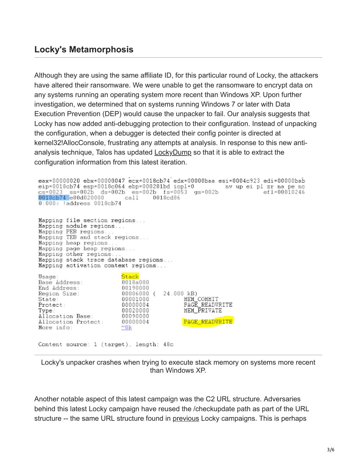### **Locky's Metamorphosis**

Although they are using the same affiliate ID, for this particular round of Locky, the attackers have altered their ransomware. We were unable to get the ransomware to encrypt data on any systems running an operating system more recent than Windows XP. Upon further investigation, we determined that on systems running Windows 7 or later with Data Execution Prevention (DEP) would cause the unpacker to fail. Our analysis suggests that Locky has now added anti-debugging protection to their configuration. Instead of unpacking the configuration, when a debugger is detected their config pointer is directed at kernel32!AllocConsole, frustrating any attempts at analysis. In response to this new antianalysis technique, Talos has updated **[LockyDump](https://www.talosintelligence.com/lockydump)** so that it is able to extract the configuration information from this latest iteration.

eax=00000020 ebx=00000047 ecx=0018cb74 edx=00000baa esi=0004c923 edi=00000bab eip=0018cb74 esp=0018c064 ebp=000281bd iopl=0 mv up ei pl zr na pe nc cs=0023 ss=002b ds=002b es=002b fs=0053 gs=002b ef1=00010246  $cal 1$ 0018cb74 e80d020000 0018cd86  $0:000$  address  $0018$ cb $74$ Mapping file section regions... Mapping module regions... Mapping PEB regions. Mapping TEB and stack regions...<br>Mapping heap regions... Mapping page heap regions... Mapping other regions... Mapping stack trace database regions... Mapping activation context regions... Stack Usage: Base Address: 0018a000 End Address: 00190000 00006000 ( 24.000 kB) Region Size: MEM COMMIT<br>PAGE\_READWRITE 00001000 State: Protect: 00000004 MEM\_PRIVATE 00020000 Type: Allocation Base:<br>Allocation Protect:<br>More info: 00090000 PAGE READVRITE 00000004  $^{\sim}$ 0k Content source: 1 (target), length: 48c

Locky's unpacker crashes when trying to execute stack memory on systems more recent than Windows XP.

Another notable aspect of this latest campaign was the C2 URL structure. Adversaries behind this latest Locky campaign have reused the /checkupdate path as part of the URL structure -- the same URL structure found in [previous](http://blog.talosintelligence.com/2017/04/locky-returns-necurs.html) Locky campaigns. This is perhaps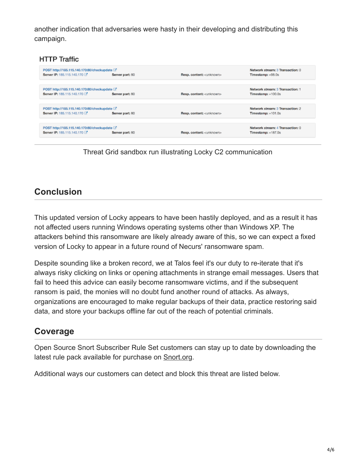another indication that adversaries were hasty in their developing and distributing this campaign.

#### **HTTP Traffic**

| POST http://185.115.140.170:80/checkupdate [3]<br>Server IP: 185.115.140.170<br>Server port: 80 | Resp. content: <unknown></unknown> | Network stream: 3 Transaction: 0<br>Timestamp: +98.0s    |
|-------------------------------------------------------------------------------------------------|------------------------------------|----------------------------------------------------------|
| POST http://185.115.140.170:80/checkupdate [3]<br>Server IP: 185.115.140.170<br>Server port: 80 | Resp. content: <unknown></unknown> | Network stream: 3 Transaction: 1<br>$Timestamp: +100.0s$ |
| POST http://185.115.140.170:80/checkupdate [3]<br>Server IP: 185.115.140.170<br>Server port: 80 | Resp. content: <unknown></unknown> | Network stream: 3 Transaction: 2<br>$Timestamp: +101.0s$ |
| POST http://185.115.140.170:80/checkupdate <a>[</a>                                             |                                    | Network stream: 4 Transaction: 0                         |
| Server IP: 185.115.140.170<br>Server port: 80                                                   | Resp. content: <unknown></unknown> | Timestamp: +187.0s                                       |

Threat Grid sandbox run illustrating Locky C2 communication

## **Conclusion**

This updated version of Locky appears to have been hastily deployed, and as a result it has not affected users running Windows operating systems other than Windows XP. The attackers behind this ransomware are likely already aware of this, so we can expect a fixed version of Locky to appear in a future round of Necurs' ransomware spam.

Despite sounding like a broken record, we at Talos feel it's our duty to re-iterate that it's always risky clicking on links or opening attachments in strange email messages. Users that fail to heed this advice can easily become ransomware victims, and if the subsequent ransom is paid, the monies will no doubt fund another round of attacks. As always, organizations are encouraged to make regular backups of their data, practice restoring said data, and store your backups offline far out of the reach of potential criminals.

### **Coverage**

Open Source Snort Subscriber Rule Set customers can stay up to date by downloading the latest rule pack available for purchase on [Snort.org.](https://www.snort.org/products)

Additional ways our customers can detect and block this threat are listed below.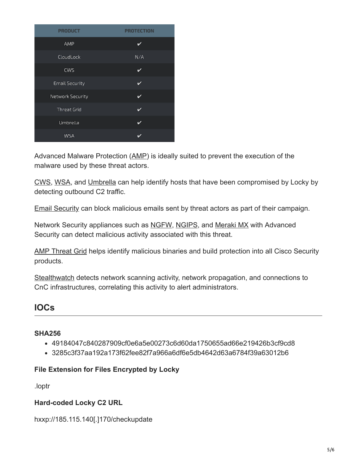| <b>PRODUCT</b>        | <b>PROTECTION</b> |  |
|-----------------------|-------------------|--|
| AMP                   |                   |  |
| CloudLock             | N/A               |  |
| CWS                   | ✓                 |  |
| <b>Email Security</b> | ✓                 |  |
| Network Security      | v                 |  |
| <b>Threat Grid</b>    | ✓                 |  |
| Umbrella              | v                 |  |
| <b>WSA</b>            |                   |  |

Advanced Malware Protection ([AMP\)](https://www.cisco.com/c/en/us/support/security/amp-firepower-software-license/tsd-products-support-series-home.html) is ideally suited to prevent the execution of the malware used by these threat actors.

[CWS,](https://www.cisco.com/c/en/us/products/security/cloud-web-security/index.html) [WSA,](https://www.cisco.com/c/en/us/products/security/web-security-appliance/index.html) and [Umbrella](https://umbrella.cisco.com/) can help identify hosts that have been compromised by Locky by detecting outbound C2 traffic.

[Email Security](https://www.cisco.com/c/en/us/products/security/email-security-appliance/index.html) can block malicious emails sent by threat actors as part of their campaign.

Network Security appliances such as [NGFW](https://www.cisco.com/c/en/us/products/security/asa-next-generation-firewall-services/index.html), [NGIPS](https://www.cisco.com/c/en/us/products/security/intrusion-prevention-system-ips/index.html), and [Meraki MX](https://meraki.cisco.com/products/appliances) with Advanced Security can detect malicious activity associated with this threat.

[AMP Threat Grid](https://www.cisco.com/c/en/us/solutions/enterprise-networks/amp-threat-grid/index.html) helps identify malicious binaries and build protection into all Cisco Security products.

[Stealthwatch](https://www.cisco.com/c/en/us/products/security/stealthwatch/index.html) detects network scanning activity, network propagation, and connections to CnC infrastructures, correlating this activity to alert administrators.

### **IOCs**

### **SHA256**

- 49184047c840287909cf0e6a5e00273c6d60da1750655ad66e219426b3cf9cd8
- 3285c3f37aa192a173f62fee82f7a966a6df6e5db4642d63a6784f39a63012b6

#### **File Extension for Files Encrypted by Locky**

.loptr

### **Hard-coded Locky C2 URL**

hxxp://185.115.140[.]170/checkupdate